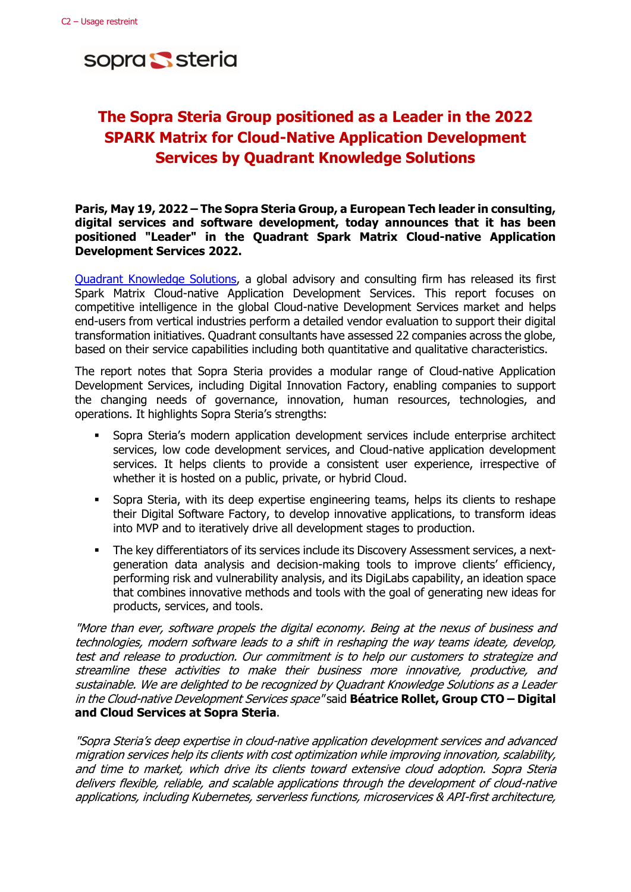sopra Ssteria

# **The Sopra Steria Group positioned as a Leader in the 2022 SPARK Matrix for Cloud-Native Application Development Services by Quadrant Knowledge Solutions**

# **Paris, May 19, 2022 – The Sopra Steria Group, a European Tech leader in consulting, digital services and software development, today announces that it has been positioned "Leader" in the Quadrant Spark Matrix Cloud-native Application Development Services 2022.**

[Quadrant Knowledge Solutions,](https://quadrant-solutions.com/) a global advisory and consulting firm has released its first Spark Matrix Cloud-native Application Development Services. This report focuses on competitive intelligence in the global Cloud-native Development Services market and helps end-users from vertical industries perform a detailed vendor evaluation to support their digital transformation initiatives. Quadrant consultants have assessed 22 companies across the globe, based on their service capabilities including both quantitative and qualitative characteristics.

The report notes that Sopra Steria provides a modular range of Cloud-native Application Development Services, including Digital Innovation Factory, enabling companies to support the changing needs of governance, innovation, human resources, technologies, and operations. It highlights Sopra Steria's strengths:

- Sopra Steria's modern application development services include enterprise architect services, low code development services, and Cloud-native application development services. It helps clients to provide a consistent user experience, irrespective of whether it is hosted on a public, private, or hybrid Cloud.
- Sopra Steria, with its deep expertise engineering teams, helps its clients to reshape their Digital Software Factory, to develop innovative applications, to transform ideas into MVP and to iteratively drive all development stages to production.
- **•** The key differentiators of its services include its Discovery Assessment services, a nextgeneration data analysis and decision-making tools to improve clients' efficiency, performing risk and vulnerability analysis, and its DigiLabs capability, an ideation space that combines innovative methods and tools with the goal of generating new ideas for products, services, and tools.

"More than ever, software propels the digital economy. Being at the nexus of business and technologies, modern software leads to a shift in reshaping the way teams ideate, develop, test and release to production. Our commitment is to help our customers to strategize and streamline these activities to make their business more innovative, productive, and sustainable. We are delighted to be recognized by Quadrant Knowledge Solutions as a Leader in the Cloud-native Development Services space" said **Béatrice Rollet, Group CTO – Digital and Cloud Services at Sopra Steria**.

"Sopra Steria's deep expertise in cloud-native application development services and advanced migration services help its clients with cost optimization while improving innovation, scalability, and time to market, which drive its clients toward extensive cloud adoption. Sopra Steria delivers flexible, reliable, and scalable applications through the development of cloud-native applications, including Kubernetes, serverless functions, microservices & API-first architecture,